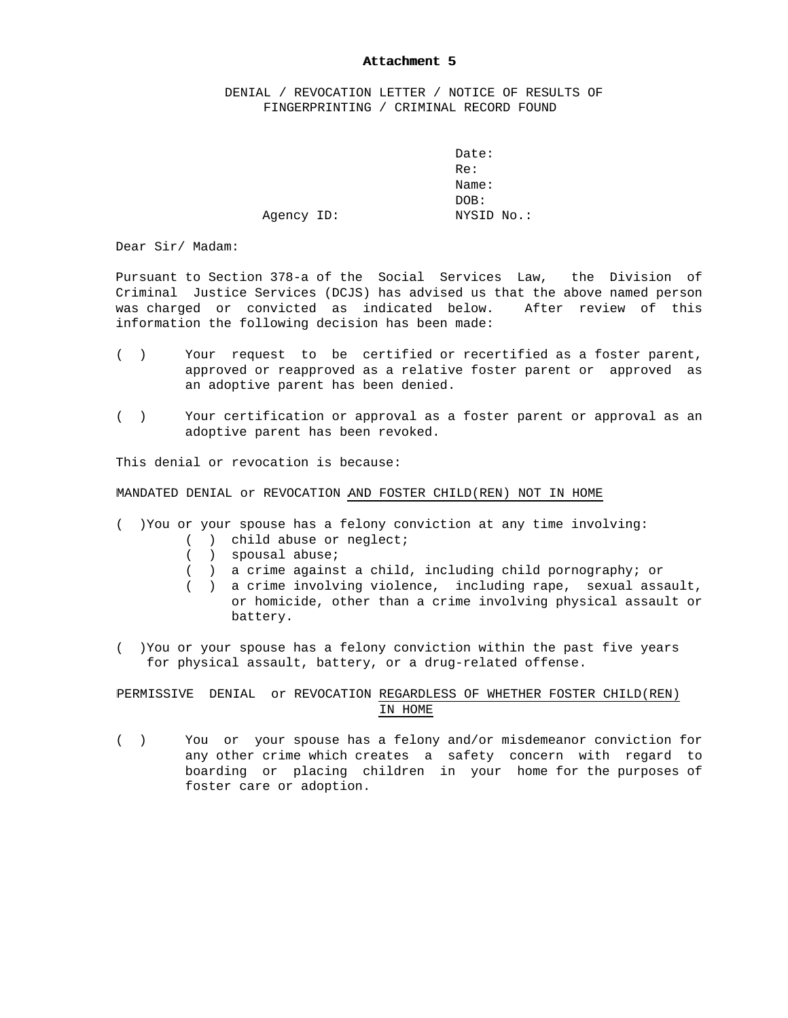## Attachment 5

 DENIAL / REVOCATION LETTER / NOTICE OF RESULTS OF FINGERPRINTING / CRIMINAL RECORD FOUND

Date: Re: Name: DOB: Agency ID: NYSID No.:

Dear Sir/ Madam:

Pursuant to Section 378-a of the Social Services Law, the Division of Criminal Justice Services (DCJS) has advised us that the above named person was charged or convicted as indicated below. After review of this information the following decision has been made:

- ( ) Your request to be certified or recertified as a foster parent, approved or reapproved as a relative foster parent or approved as an adoptive parent has been denied.
- ( ) Your certification or approval as a foster parent or approval as an adoptive parent has been revoked.

This denial or revocation is because:

MANDATED DENIAL or REVOCATION AND FOSTER CHILD(REN) NOT IN HOME

- ( )You or your spouse has a felony conviction at any time involving:
	- ( ) child abuse or neglect;
	- ( ) spousal abuse;
	- ( ) a crime against a child, including child pornography; or
	- ( ) a crime involving violence, including rape, sexual assault, or homicide, other than a crime involving physical assault or battery.
- ( )You or your spouse has a felony conviction within the past five years for physical assault, battery, or a drug-related offense.

PERMISSIVE DENIAL or REVOCATION REGARDLESS OF WHETHER FOSTER CHILD(REN) IN HOME

( ) You or your spouse has a felony and/or misdemeanor conviction for any other crime which creates a safety concern with regard to boarding or placing children in your home for the purposes of foster care or adoption.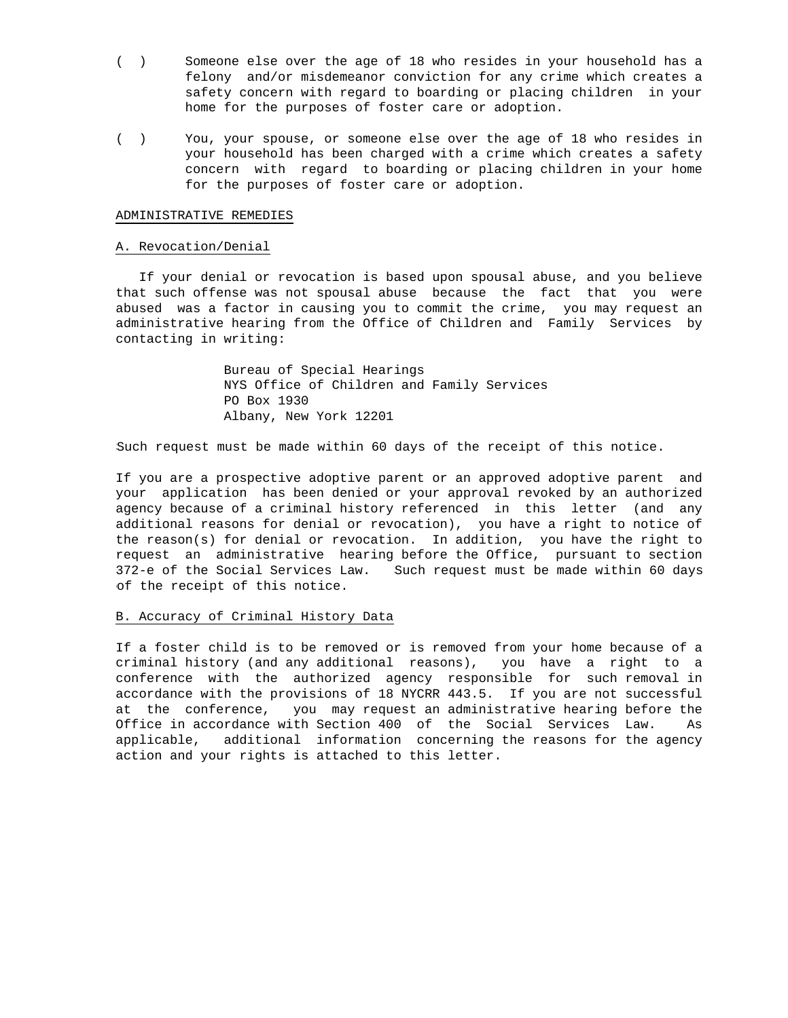- ( ) Someone else over the age of 18 who resides in your household has a felony and/or misdemeanor conviction for any crime which creates a safety concern with regard to boarding or placing children in your home for the purposes of foster care or adoption.
- ( ) You, your spouse, or someone else over the age of 18 who resides in your household has been charged with a crime which creates a safety concern with regard to boarding or placing children in your home for the purposes of foster care or adoption.

## ADMINISTRATIVE REMEDIES

## A. Revocation/Denial

 If your denial or revocation is based upon spousal abuse, and you believe that such offense was not spousal abuse because the fact that you were abused was a factor in causing you to commit the crime, you may request an administrative hearing from the Office of Children and Family Services by contacting in writing:

> Bureau of Special Hearings NYS Office of Children and Family Services PO Box 1930 Albany, New York 12201

Such request must be made within 60 days of the receipt of this notice.

If you are a prospective adoptive parent or an approved adoptive parent and your application has been denied or your approval revoked by an authorized agency because of a criminal history referenced in this letter (and any additional reasons for denial or revocation), you have a right to notice of the reason(s) for denial or revocation. In addition, you have the right to request an administrative hearing before the Office, pursuant to section 372-e of the Social Services Law. Such request must be made within 60 days of the receipt of this notice.

## B. Accuracy of Criminal History Data

If a foster child is to be removed or is removed from your home because of a criminal history (and any additional reasons), you have a right to a conference with the authorized agency responsible for such removal in accordance with the provisions of 18 NYCRR 443.5. If you are not successful at the conference, you may request an administrative hearing before the Office in accordance with Section 400 of the Social Services Law. As applicable, additional information concerning the reasons for the agency action and your rights is attached to this letter.